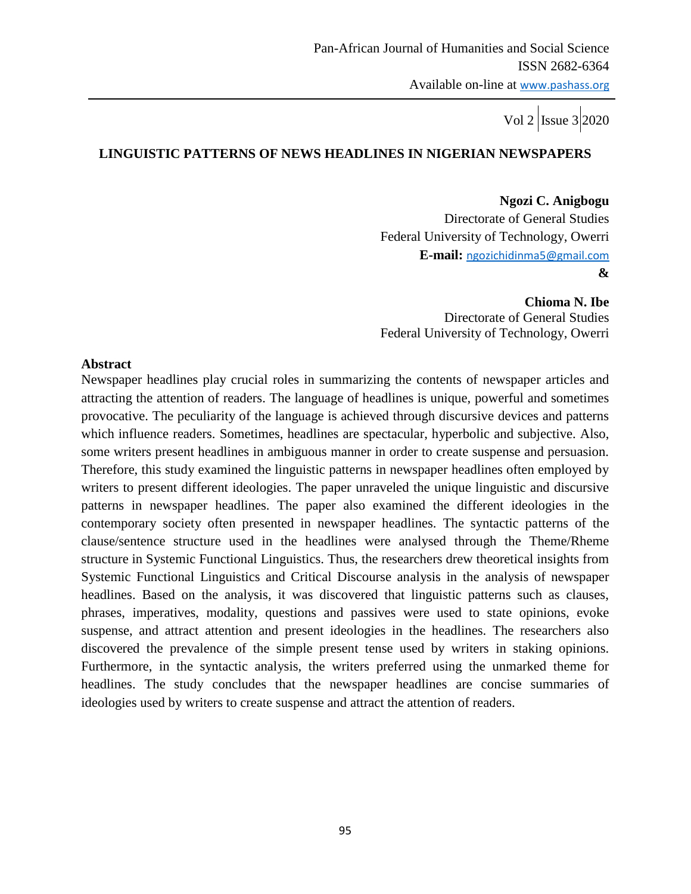#### **LINGUISTIC PATTERNS OF NEWS HEADLINES IN NIGERIAN NEWSPAPERS**

**Ngozi C. Anigbogu** Directorate of General Studies Federal University of Technology, Owerri **E-mail:** [ngozichidinma5@gmail.com](mailto:ngozichidinma5@gmail.com) **&**

**Chioma N. Ibe** Directorate of General Studies Federal University of Technology, Owerri

#### **Abstract**

Newspaper headlines play crucial roles in summarizing the contents of newspaper articles and attracting the attention of readers. The language of headlines is unique, powerful and sometimes provocative. The peculiarity of the language is achieved through discursive devices and patterns which influence readers. Sometimes, headlines are spectacular, hyperbolic and subjective. Also, some writers present headlines in ambiguous manner in order to create suspense and persuasion. Therefore, this study examined the linguistic patterns in newspaper headlines often employed by writers to present different ideologies. The paper unraveled the unique linguistic and discursive patterns in newspaper headlines. The paper also examined the different ideologies in the contemporary society often presented in newspaper headlines. The syntactic patterns of the clause/sentence structure used in the headlines were analysed through the Theme/Rheme structure in Systemic Functional Linguistics. Thus, the researchers drew theoretical insights from Systemic Functional Linguistics and Critical Discourse analysis in the analysis of newspaper headlines. Based on the analysis, it was discovered that linguistic patterns such as clauses, phrases, imperatives, modality, questions and passives were used to state opinions, evoke suspense, and attract attention and present ideologies in the headlines. The researchers also discovered the prevalence of the simple present tense used by writers in staking opinions. Furthermore, in the syntactic analysis, the writers preferred using the unmarked theme for headlines. The study concludes that the newspaper headlines are concise summaries of ideologies used by writers to create suspense and attract the attention of readers.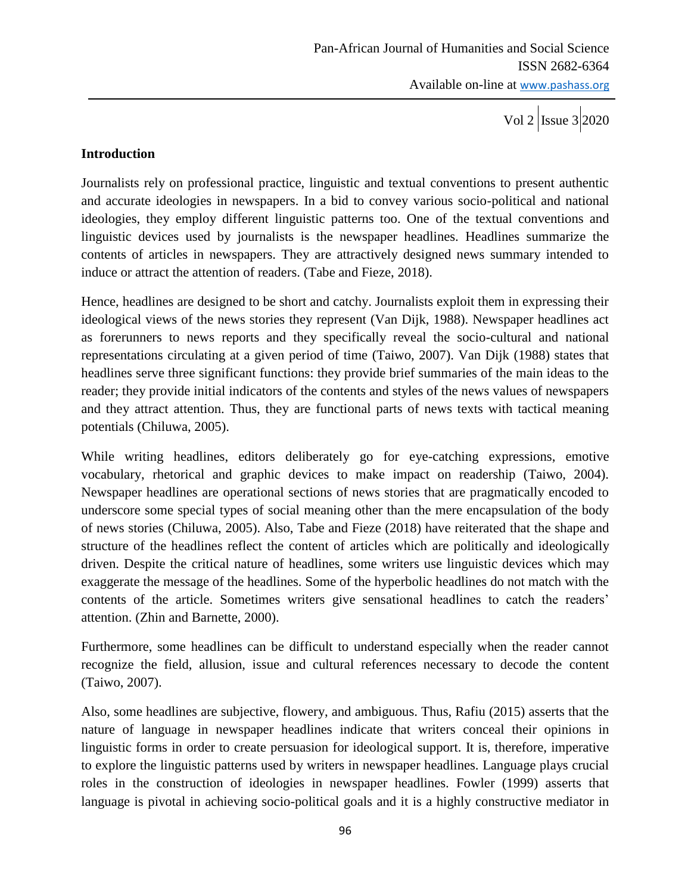#### **Introduction**

Journalists rely on professional practice, linguistic and textual conventions to present authentic and accurate ideologies in newspapers. In a bid to convey various socio-political and national ideologies, they employ different linguistic patterns too. One of the textual conventions and linguistic devices used by journalists is the newspaper headlines. Headlines summarize the contents of articles in newspapers. They are attractively designed news summary intended to induce or attract the attention of readers. (Tabe and Fieze, 2018).

Hence, headlines are designed to be short and catchy. Journalists exploit them in expressing their ideological views of the news stories they represent (Van Dijk, 1988). Newspaper headlines act as forerunners to news reports and they specifically reveal the socio-cultural and national representations circulating at a given period of time (Taiwo, 2007). Van Dijk (1988) states that headlines serve three significant functions: they provide brief summaries of the main ideas to the reader; they provide initial indicators of the contents and styles of the news values of newspapers and they attract attention. Thus, they are functional parts of news texts with tactical meaning potentials (Chiluwa, 2005).

While writing headlines, editors deliberately go for eye-catching expressions, emotive vocabulary, rhetorical and graphic devices to make impact on readership (Taiwo, 2004). Newspaper headlines are operational sections of news stories that are pragmatically encoded to underscore some special types of social meaning other than the mere encapsulation of the body of news stories (Chiluwa, 2005). Also, Tabe and Fieze (2018) have reiterated that the shape and structure of the headlines reflect the content of articles which are politically and ideologically driven. Despite the critical nature of headlines, some writers use linguistic devices which may exaggerate the message of the headlines. Some of the hyperbolic headlines do not match with the contents of the article. Sometimes writers give sensational headlines to catch the readers' attention. (Zhin and Barnette, 2000).

Furthermore, some headlines can be difficult to understand especially when the reader cannot recognize the field, allusion, issue and cultural references necessary to decode the content (Taiwo, 2007).

Also, some headlines are subjective, flowery, and ambiguous. Thus, Rafiu (2015) asserts that the nature of language in newspaper headlines indicate that writers conceal their opinions in linguistic forms in order to create persuasion for ideological support. It is, therefore, imperative to explore the linguistic patterns used by writers in newspaper headlines. Language plays crucial roles in the construction of ideologies in newspaper headlines. Fowler (1999) asserts that language is pivotal in achieving socio-political goals and it is a highly constructive mediator in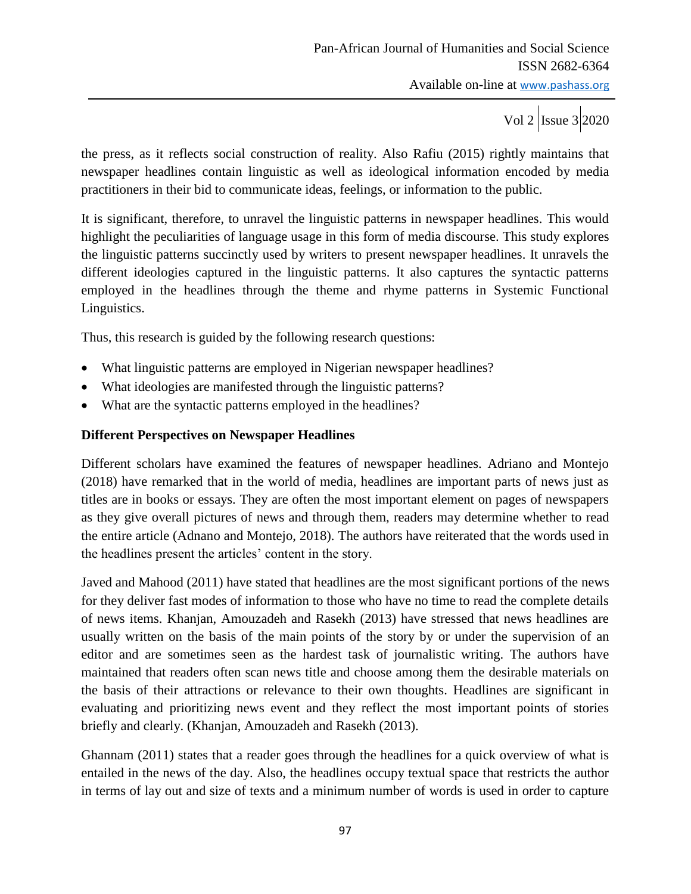the press, as it reflects social construction of reality. Also Rafiu (2015) rightly maintains that newspaper headlines contain linguistic as well as ideological information encoded by media practitioners in their bid to communicate ideas, feelings, or information to the public.

It is significant, therefore, to unravel the linguistic patterns in newspaper headlines. This would highlight the peculiarities of language usage in this form of media discourse. This study explores the linguistic patterns succinctly used by writers to present newspaper headlines. It unravels the different ideologies captured in the linguistic patterns. It also captures the syntactic patterns employed in the headlines through the theme and rhyme patterns in Systemic Functional Linguistics.

Thus, this research is guided by the following research questions:

- What linguistic patterns are employed in Nigerian newspaper headlines?
- What ideologies are manifested through the linguistic patterns?
- What are the syntactic patterns employed in the headlines?

#### **Different Perspectives on Newspaper Headlines**

Different scholars have examined the features of newspaper headlines. Adriano and Montejo (2018) have remarked that in the world of media, headlines are important parts of news just as titles are in books or essays. They are often the most important element on pages of newspapers as they give overall pictures of news and through them, readers may determine whether to read the entire article (Adnano and Montejo, 2018). The authors have reiterated that the words used in the headlines present the articles' content in the story.

Javed and Mahood (2011) have stated that headlines are the most significant portions of the news for they deliver fast modes of information to those who have no time to read the complete details of news items. Khanjan, Amouzadeh and Rasekh (2013) have stressed that news headlines are usually written on the basis of the main points of the story by or under the supervision of an editor and are sometimes seen as the hardest task of journalistic writing. The authors have maintained that readers often scan news title and choose among them the desirable materials on the basis of their attractions or relevance to their own thoughts. Headlines are significant in evaluating and prioritizing news event and they reflect the most important points of stories briefly and clearly. (Khanjan, Amouzadeh and Rasekh (2013).

Ghannam (2011) states that a reader goes through the headlines for a quick overview of what is entailed in the news of the day. Also, the headlines occupy textual space that restricts the author in terms of lay out and size of texts and a minimum number of words is used in order to capture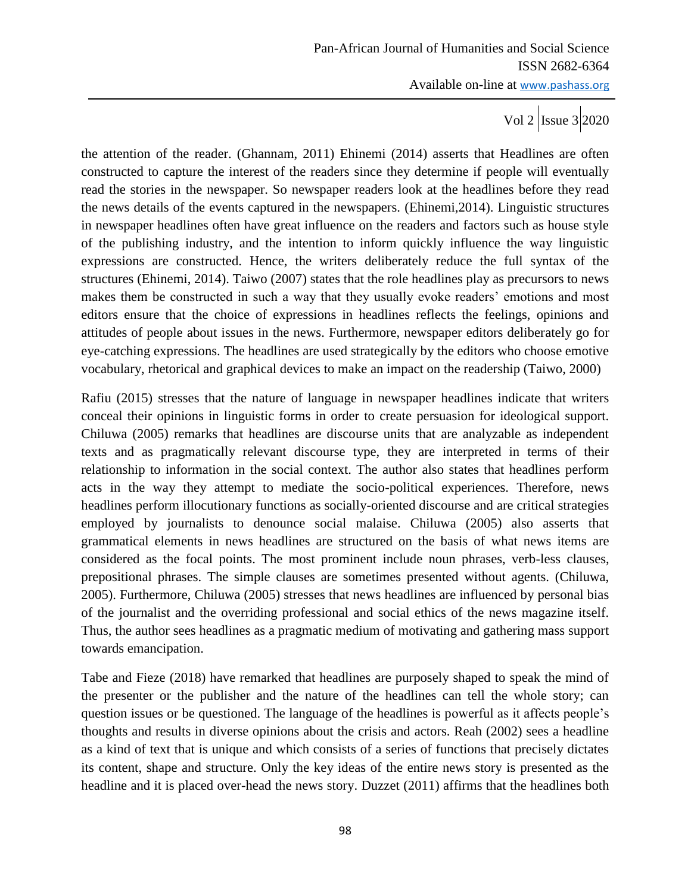the attention of the reader. (Ghannam, 2011) Ehinemi (2014) asserts that Headlines are often constructed to capture the interest of the readers since they determine if people will eventually read the stories in the newspaper. So newspaper readers look at the headlines before they read the news details of the events captured in the newspapers. (Ehinemi,2014). Linguistic structures in newspaper headlines often have great influence on the readers and factors such as house style of the publishing industry, and the intention to inform quickly influence the way linguistic expressions are constructed. Hence, the writers deliberately reduce the full syntax of the structures (Ehinemi, 2014). Taiwo (2007) states that the role headlines play as precursors to news makes them be constructed in such a way that they usually evoke readers' emotions and most editors ensure that the choice of expressions in headlines reflects the feelings, opinions and attitudes of people about issues in the news. Furthermore, newspaper editors deliberately go for eye-catching expressions. The headlines are used strategically by the editors who choose emotive vocabulary, rhetorical and graphical devices to make an impact on the readership (Taiwo, 2000)

Rafiu (2015) stresses that the nature of language in newspaper headlines indicate that writers conceal their opinions in linguistic forms in order to create persuasion for ideological support. Chiluwa (2005) remarks that headlines are discourse units that are analyzable as independent texts and as pragmatically relevant discourse type, they are interpreted in terms of their relationship to information in the social context. The author also states that headlines perform acts in the way they attempt to mediate the socio-political experiences. Therefore, news headlines perform illocutionary functions as socially-oriented discourse and are critical strategies employed by journalists to denounce social malaise. Chiluwa (2005) also asserts that grammatical elements in news headlines are structured on the basis of what news items are considered as the focal points. The most prominent include noun phrases, verb-less clauses, prepositional phrases. The simple clauses are sometimes presented without agents. (Chiluwa, 2005). Furthermore, Chiluwa (2005) stresses that news headlines are influenced by personal bias of the journalist and the overriding professional and social ethics of the news magazine itself. Thus, the author sees headlines as a pragmatic medium of motivating and gathering mass support towards emancipation.

Tabe and Fieze (2018) have remarked that headlines are purposely shaped to speak the mind of the presenter or the publisher and the nature of the headlines can tell the whole story; can question issues or be questioned. The language of the headlines is powerful as it affects people's thoughts and results in diverse opinions about the crisis and actors. Reah (2002) sees a headline as a kind of text that is unique and which consists of a series of functions that precisely dictates its content, shape and structure. Only the key ideas of the entire news story is presented as the headline and it is placed over-head the news story. Duzzet (2011) affirms that the headlines both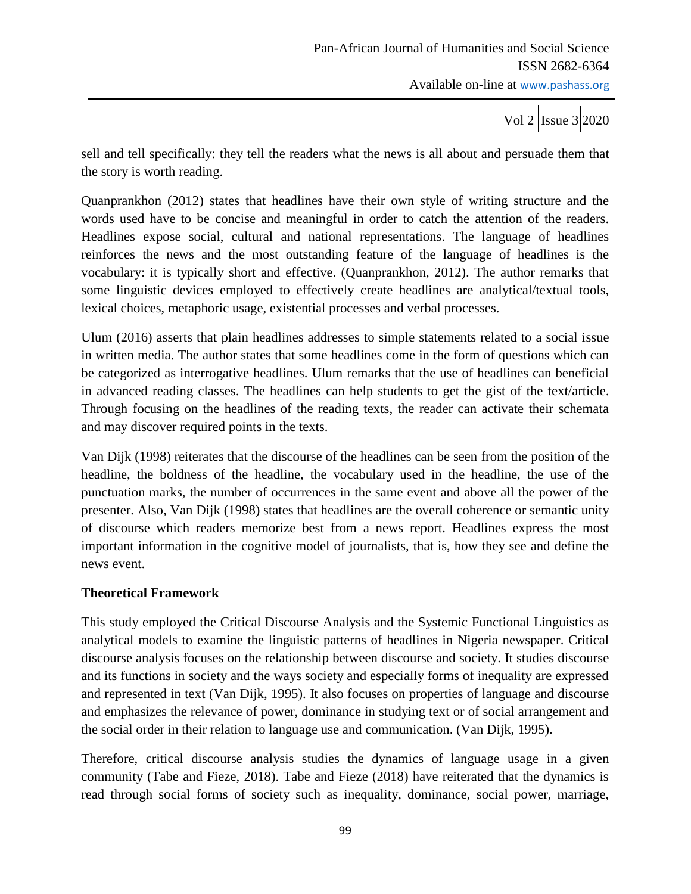sell and tell specifically: they tell the readers what the news is all about and persuade them that the story is worth reading.

Quanprankhon (2012) states that headlines have their own style of writing structure and the words used have to be concise and meaningful in order to catch the attention of the readers. Headlines expose social, cultural and national representations. The language of headlines reinforces the news and the most outstanding feature of the language of headlines is the vocabulary: it is typically short and effective. (Quanprankhon, 2012). The author remarks that some linguistic devices employed to effectively create headlines are analytical/textual tools, lexical choices, metaphoric usage, existential processes and verbal processes.

Ulum (2016) asserts that plain headlines addresses to simple statements related to a social issue in written media. The author states that some headlines come in the form of questions which can be categorized as interrogative headlines. Ulum remarks that the use of headlines can beneficial in advanced reading classes. The headlines can help students to get the gist of the text/article. Through focusing on the headlines of the reading texts, the reader can activate their schemata and may discover required points in the texts.

Van Dijk (1998) reiterates that the discourse of the headlines can be seen from the position of the headline, the boldness of the headline, the vocabulary used in the headline, the use of the punctuation marks, the number of occurrences in the same event and above all the power of the presenter. Also, Van Dijk (1998) states that headlines are the overall coherence or semantic unity of discourse which readers memorize best from a news report. Headlines express the most important information in the cognitive model of journalists, that is, how they see and define the news event.

#### **Theoretical Framework**

This study employed the Critical Discourse Analysis and the Systemic Functional Linguistics as analytical models to examine the linguistic patterns of headlines in Nigeria newspaper. Critical discourse analysis focuses on the relationship between discourse and society. It studies discourse and its functions in society and the ways society and especially forms of inequality are expressed and represented in text (Van Dijk, 1995). It also focuses on properties of language and discourse and emphasizes the relevance of power, dominance in studying text or of social arrangement and the social order in their relation to language use and communication. (Van Dijk, 1995).

Therefore, critical discourse analysis studies the dynamics of language usage in a given community (Tabe and Fieze, 2018). Tabe and Fieze (2018) have reiterated that the dynamics is read through social forms of society such as inequality, dominance, social power, marriage,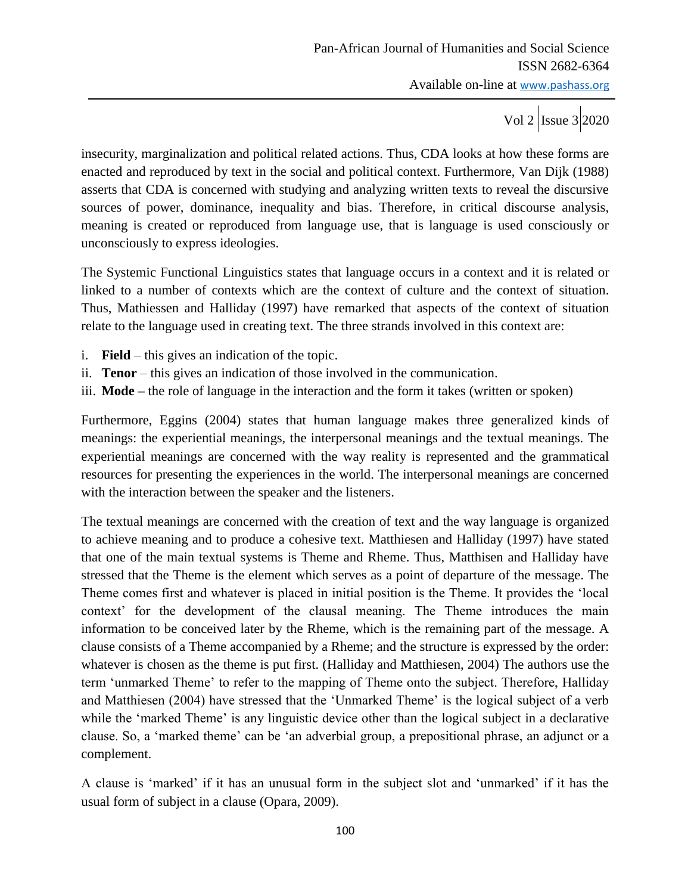insecurity, marginalization and political related actions. Thus, CDA looks at how these forms are enacted and reproduced by text in the social and political context. Furthermore, Van Dijk (1988) asserts that CDA is concerned with studying and analyzing written texts to reveal the discursive sources of power, dominance, inequality and bias. Therefore, in critical discourse analysis, meaning is created or reproduced from language use, that is language is used consciously or unconsciously to express ideologies.

The Systemic Functional Linguistics states that language occurs in a context and it is related or linked to a number of contexts which are the context of culture and the context of situation. Thus, Mathiessen and Halliday (1997) have remarked that aspects of the context of situation relate to the language used in creating text. The three strands involved in this context are:

- i. **Field** this gives an indication of the topic.
- ii. **Tenor** this gives an indication of those involved in the communication.
- iii. **Mode –** the role of language in the interaction and the form it takes (written or spoken)

Furthermore, Eggins (2004) states that human language makes three generalized kinds of meanings: the experiential meanings, the interpersonal meanings and the textual meanings. The experiential meanings are concerned with the way reality is represented and the grammatical resources for presenting the experiences in the world. The interpersonal meanings are concerned with the interaction between the speaker and the listeners.

The textual meanings are concerned with the creation of text and the way language is organized to achieve meaning and to produce a cohesive text. Matthiesen and Halliday (1997) have stated that one of the main textual systems is Theme and Rheme. Thus, Matthisen and Halliday have stressed that the Theme is the element which serves as a point of departure of the message. The Theme comes first and whatever is placed in initial position is the Theme. It provides the 'local context' for the development of the clausal meaning. The Theme introduces the main information to be conceived later by the Rheme, which is the remaining part of the message. A clause consists of a Theme accompanied by a Rheme; and the structure is expressed by the order: whatever is chosen as the theme is put first. (Halliday and Matthiesen, 2004) The authors use the term 'unmarked Theme' to refer to the mapping of Theme onto the subject. Therefore, Halliday and Matthiesen (2004) have stressed that the 'Unmarked Theme' is the logical subject of a verb while the 'marked Theme' is any linguistic device other than the logical subject in a declarative clause. So, a 'marked theme' can be 'an adverbial group, a prepositional phrase, an adjunct or a complement.

A clause is 'marked' if it has an unusual form in the subject slot and 'unmarked' if it has the usual form of subject in a clause (Opara, 2009).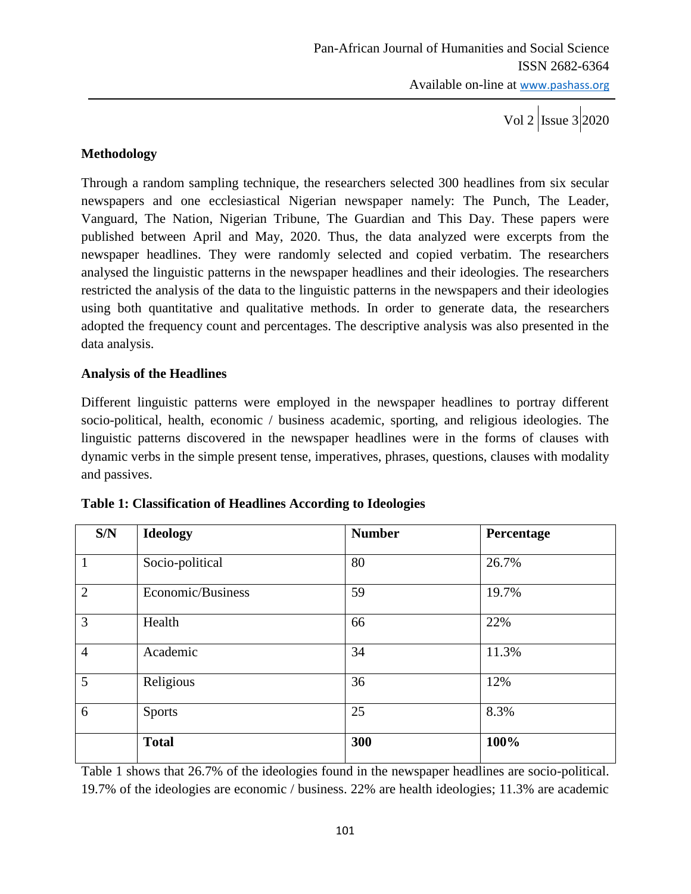# **Methodology**

Through a random sampling technique, the researchers selected 300 headlines from six secular newspapers and one ecclesiastical Nigerian newspaper namely: The Punch, The Leader, Vanguard, The Nation, Nigerian Tribune, The Guardian and This Day. These papers were published between April and May, 2020. Thus, the data analyzed were excerpts from the newspaper headlines. They were randomly selected and copied verbatim. The researchers analysed the linguistic patterns in the newspaper headlines and their ideologies. The researchers restricted the analysis of the data to the linguistic patterns in the newspapers and their ideologies using both quantitative and qualitative methods. In order to generate data, the researchers adopted the frequency count and percentages. The descriptive analysis was also presented in the data analysis.

#### **Analysis of the Headlines**

Different linguistic patterns were employed in the newspaper headlines to portray different socio-political, health, economic / business academic, sporting, and religious ideologies. The linguistic patterns discovered in the newspaper headlines were in the forms of clauses with dynamic verbs in the simple present tense, imperatives, phrases, questions, clauses with modality and passives.

| S/N            | <b>Ideology</b>   | <b>Number</b> | Percentage |
|----------------|-------------------|---------------|------------|
| 1              | Socio-political   | 80            | 26.7%      |
| $\overline{2}$ | Economic/Business | 59            | 19.7%      |
| $\overline{3}$ | Health            | 66            | 22%        |
| $\overline{4}$ | Academic          | 34            | 11.3%      |
| 5              | Religious         | 36            | 12%        |
| 6              | <b>Sports</b>     | 25            | 8.3%       |
|                | <b>Total</b>      | 300           | 100%       |

|  | Table 1: Classification of Headlines According to Ideologies |  |
|--|--------------------------------------------------------------|--|
|  |                                                              |  |

Table 1 shows that 26.7% of the ideologies found in the newspaper headlines are socio-political. 19.7% of the ideologies are economic / business. 22% are health ideologies; 11.3% are academic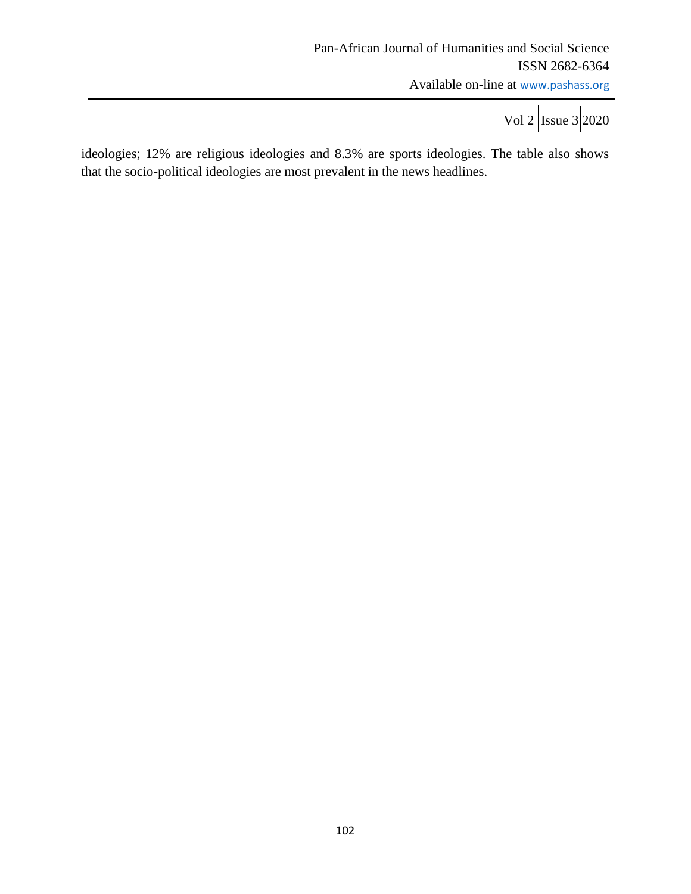ideologies; 12% are religious ideologies and 8.3% are sports ideologies. The table also shows that the socio-political ideologies are most prevalent in the news headlines.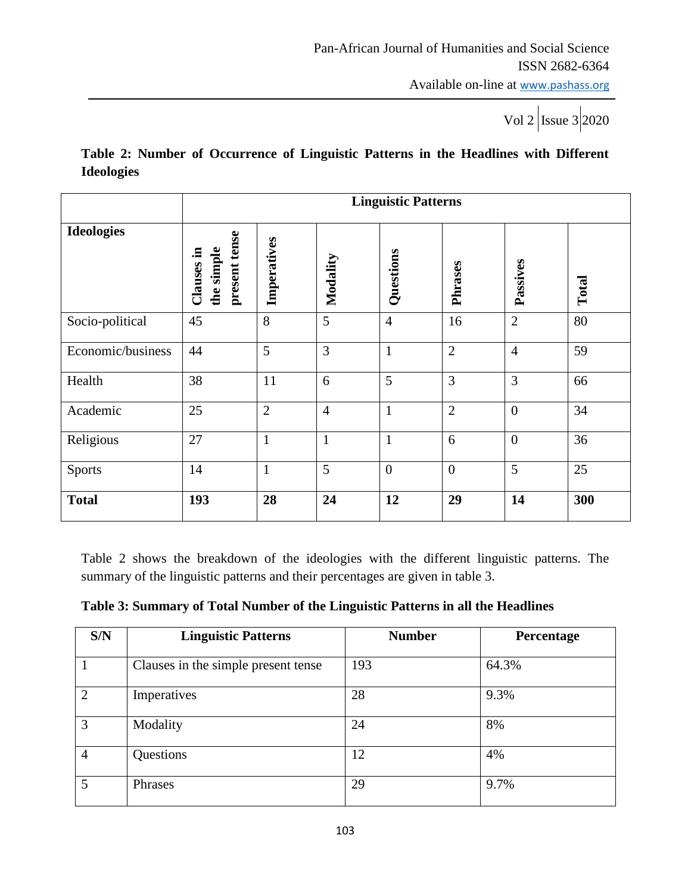# **Table 2: Number of Occurrence of Linguistic Patterns in the Headlines with Different Ideologies**

|                   | <b>Linguistic Patterns</b>                |                |                |                |                |                  |       |
|-------------------|-------------------------------------------|----------------|----------------|----------------|----------------|------------------|-------|
| <b>Ideologies</b> | present tense<br>the simple<br>Clauses in | Imperatives    | Modality       | Questions      | Phrases        | Passives         | Total |
| Socio-political   | 45                                        | 8              | 5              | $\overline{4}$ | 16             | $\overline{2}$   | 80    |
| Economic/business | 44                                        | 5              | 3              | $\mathbf{1}$   | $\overline{2}$ | $\overline{4}$   | 59    |
| Health            | 38                                        | 11             | 6              | 5              | 3              | 3                | 66    |
| Academic          | 25                                        | $\overline{2}$ | $\overline{4}$ | $\mathbf{1}$   | $\overline{2}$ | $\boldsymbol{0}$ | 34    |
| Religious         | 27                                        | $\mathbf{1}$   | $\mathbf{1}$   | $\mathbf{1}$   | 6              | $\mathbf{0}$     | 36    |
| <b>Sports</b>     | 14                                        | $\mathbf{1}$   | 5              | $\overline{0}$ | $\overline{0}$ | 5                | 25    |
| <b>Total</b>      | 193                                       | 28             | 24             | 12             | 29             | 14               | 300   |

Table 2 shows the breakdown of the ideologies with the different linguistic patterns. The summary of the linguistic patterns and their percentages are given in table 3.

| S/N            | <b>Linguistic Patterns</b>          | <b>Number</b> | <b>Percentage</b> |
|----------------|-------------------------------------|---------------|-------------------|
|                | Clauses in the simple present tense | 193           | 64.3%             |
| $\overline{2}$ | Imperatives                         | 28            | 9.3%              |
| 3              | Modality                            | 24            | 8%                |
| $\overline{4}$ | Questions                           | 12            | 4%                |
| 5              | Phrases                             | 29            | 9.7%              |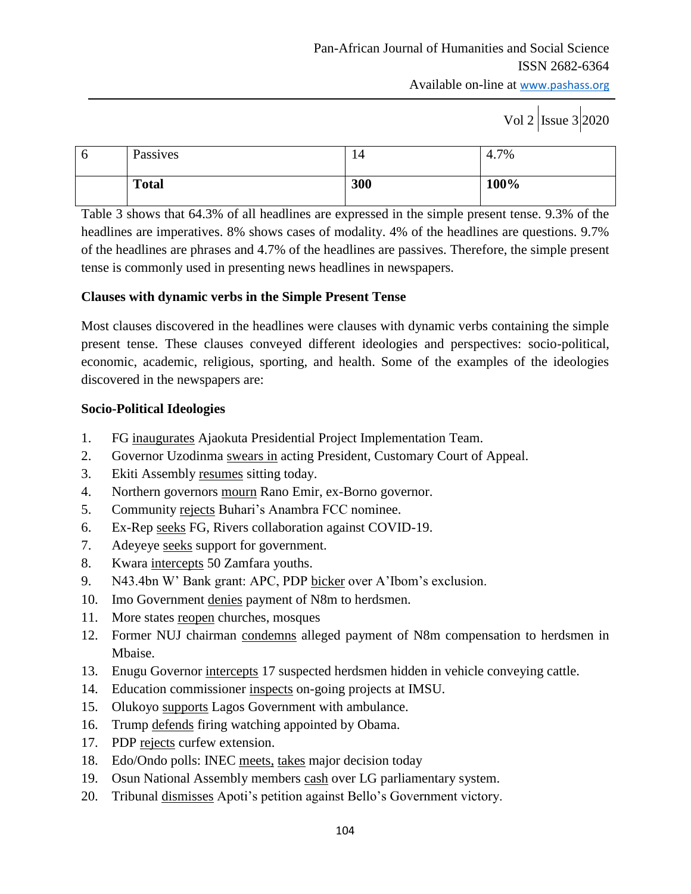Available on-line at www.pashass.org

# Vol 2  $\vert$ Issue 3 2020

| 6 | Passives     | 14  | 4.7% |
|---|--------------|-----|------|
|   | <b>Total</b> | 300 | 100% |

Table 3 shows that 64.3% of all headlines are expressed in the simple present tense. 9.3% of the headlines are imperatives. 8% shows cases of modality. 4% of the headlines are questions. 9.7% of the headlines are phrases and 4.7% of the headlines are passives. Therefore, the simple present tense is commonly used in presenting news headlines in newspapers.

# **Clauses with dynamic verbs in the Simple Present Tense**

Most clauses discovered in the headlines were clauses with dynamic verbs containing the simple present tense. These clauses conveyed different ideologies and perspectives: socio-political, economic, academic, religious, sporting, and health. Some of the examples of the ideologies discovered in the newspapers are:

# **Socio-Political Ideologies**

- 1. FG inaugurates Ajaokuta Presidential Project Implementation Team.
- 2. Governor Uzodinma swears in acting President, Customary Court of Appeal.
- 3. Ekiti Assembly resumes sitting today.
- 4. Northern governors mourn Rano Emir, ex-Borno governor.
- 5. Community rejects Buhari's Anambra FCC nominee.
- 6. Ex-Rep seeks FG, Rivers collaboration against COVID-19.
- 7. Adeyeye seeks support for government.
- 8. Kwara intercepts 50 Zamfara youths.
- 9. N43.4bn W' Bank grant: APC, PDP bicker over A'Ibom's exclusion.
- 10. Imo Government denies payment of N8m to herdsmen.
- 11. More states reopen churches, mosques
- 12. Former NUJ chairman condemns alleged payment of N8m compensation to herdsmen in Mbaise.
- 13. Enugu Governor intercepts 17 suspected herdsmen hidden in vehicle conveying cattle.
- 14. Education commissioner inspects on-going projects at IMSU.
- 15. Olukoyo supports Lagos Government with ambulance.
- 16. Trump defends firing watching appointed by Obama.
- 17. PDP rejects curfew extension.
- 18. Edo/Ondo polls: INEC meets, takes major decision today
- 19. Osun National Assembly members cash over LG parliamentary system.
- 20. Tribunal dismisses Apoti's petition against Bello's Government victory.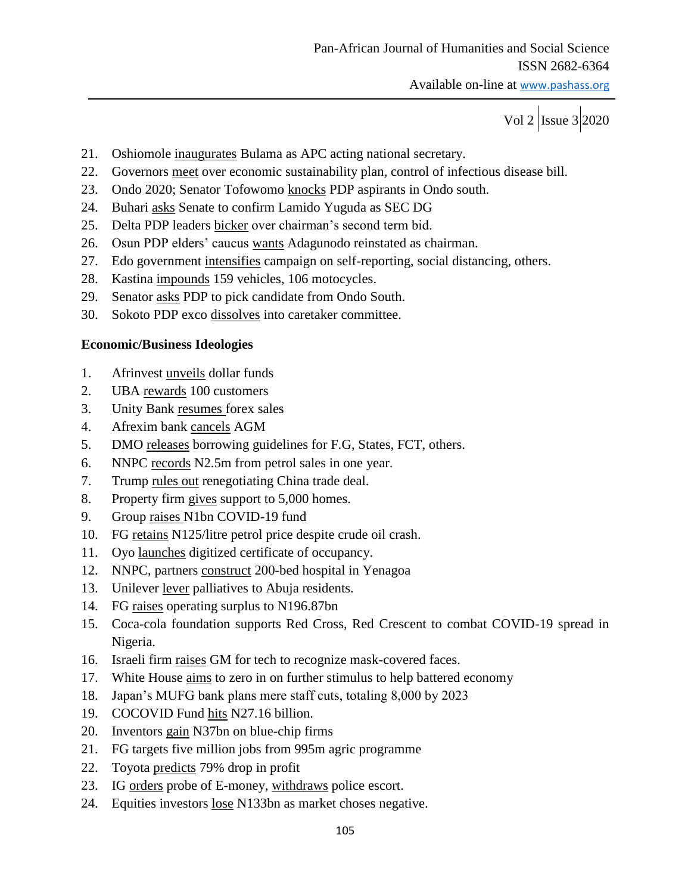Available on-line at www.pashass.org

Vol 2  $\vert$ Issue 3 2020

- 21. Oshiomole inaugurates Bulama as APC acting national secretary.
- 22. Governors meet over economic sustainability plan, control of infectious disease bill.
- 23. Ondo 2020; Senator Tofowomo knocks PDP aspirants in Ondo south.
- 24. Buhari asks Senate to confirm Lamido Yuguda as SEC DG
- 25. Delta PDP leaders bicker over chairman's second term bid.
- 26. Osun PDP elders' caucus wants Adagunodo reinstated as chairman.
- 27. Edo government intensifies campaign on self-reporting, social distancing, others.
- 28. Kastina impounds 159 vehicles, 106 motocycles.
- 29. Senator asks PDP to pick candidate from Ondo South.
- 30. Sokoto PDP exco dissolves into caretaker committee.

#### **Economic/Business Ideologies**

- 1. Afrinvest unveils dollar funds
- 2. UBA rewards 100 customers
- 3. Unity Bank resumes forex sales
- 4. Afrexim bank cancels AGM
- 5. DMO releases borrowing guidelines for F.G, States, FCT, others.
- 6. NNPC records N2.5m from petrol sales in one year.
- 7. Trump rules out renegotiating China trade deal.
- 8. Property firm gives support to 5,000 homes.
- 9. Group raises N1bn COVID-19 fund
- 10. FG retains N125/litre petrol price despite crude oil crash.
- 11. Oyo launches digitized certificate of occupancy.
- 12. NNPC, partners construct 200-bed hospital in Yenagoa
- 13. Unilever lever palliatives to Abuja residents.
- 14. FG raises operating surplus to N196.87bn
- 15. Coca-cola foundation supports Red Cross, Red Crescent to combat COVID-19 spread in Nigeria.
- 16. Israeli firm raises GM for tech to recognize mask-covered faces.
- 17. White House aims to zero in on further stimulus to help battered economy
- 18. Japan's MUFG bank plans mere staff cuts, totaling 8,000 by 2023
- 19. COCOVID Fund hits N27.16 billion.
- 20. Inventors gain N37bn on blue-chip firms
- 21. FG targets five million jobs from 995m agric programme
- 22. Toyota predicts 79% drop in profit
- 23. IG orders probe of E-money, withdraws police escort.
- 24. Equities investors lose N133bn as market choses negative.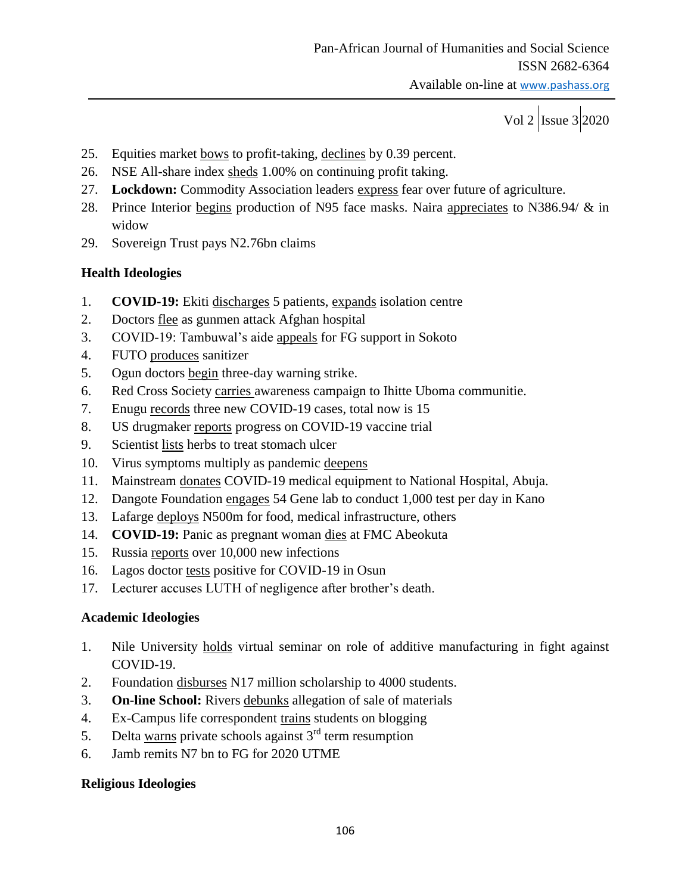- 25. Equities market bows to profit-taking, declines by 0.39 percent.
- 26. NSE All-share index sheds 1.00% on continuing profit taking.
- 27. **Lockdown:** Commodity Association leaders express fear over future of agriculture.
- 28. Prince Interior begins production of N95 face masks. Naira appreciates to N386.94/ & in widow
- 29. Sovereign Trust pays N2.76bn claims

# **Health Ideologies**

- 1. **COVID-19:** Ekiti discharges 5 patients, expands isolation centre
- 2. Doctors flee as gunmen attack Afghan hospital
- 3. COVID-19: Tambuwal's aide appeals for FG support in Sokoto
- 4. FUTO produces sanitizer
- 5. Ogun doctors begin three-day warning strike.
- 6. Red Cross Society carries awareness campaign to Ihitte Uboma communitie.
- 7. Enugu records three new COVID-19 cases, total now is 15
- 8. US drugmaker reports progress on COVID-19 vaccine trial
- 9. Scientist lists herbs to treat stomach ulcer
- 10. Virus symptoms multiply as pandemic deepens
- 11. Mainstream donates COVID-19 medical equipment to National Hospital, Abuja.
- 12. Dangote Foundation engages 54 Gene lab to conduct 1,000 test per day in Kano
- 13. Lafarge deploys N500m for food, medical infrastructure, others
- 14. **COVID-19:** Panic as pregnant woman dies at FMC Abeokuta
- 15. Russia reports over 10,000 new infections
- 16. Lagos doctor tests positive for COVID-19 in Osun
- 17. Lecturer accuses LUTH of negligence after brother's death.

#### **Academic Ideologies**

- 1. Nile University holds virtual seminar on role of additive manufacturing in fight against COVID-19.
- 2. Foundation disburses N17 million scholarship to 4000 students.
- 3. **On-line School:** Rivers debunks allegation of sale of materials
- 4. Ex-Campus life correspondent trains students on blogging
- 5. Delta warns private schools against  $3<sup>rd</sup>$  term resumption
- 6. Jamb remits N7 bn to FG for 2020 UTME

#### **Religious Ideologies**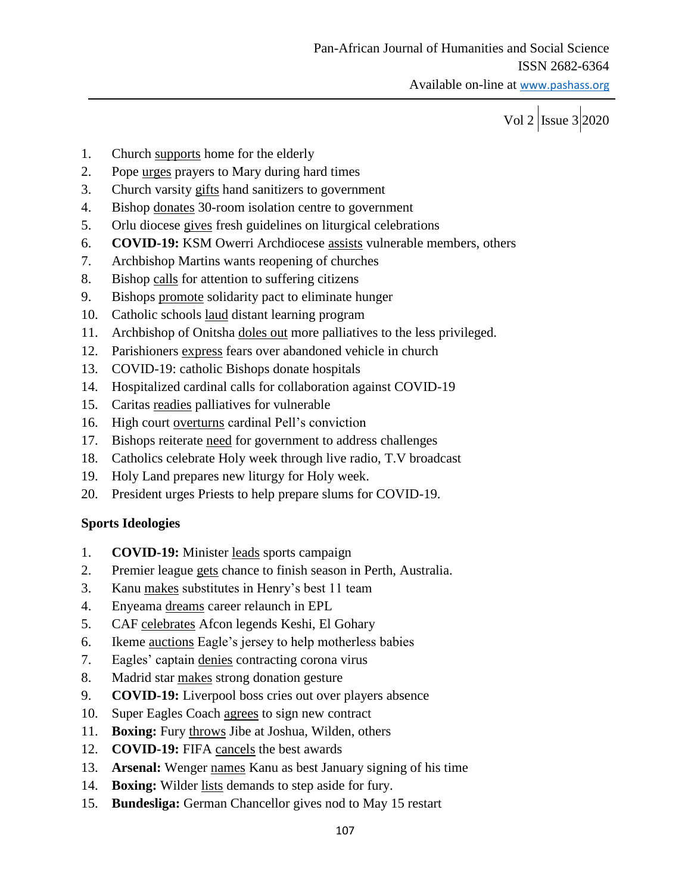- 1. Church supports home for the elderly
- 2. Pope urges prayers to Mary during hard times
- 3. Church varsity gifts hand sanitizers to government
- 4. Bishop donates 30-room isolation centre to government
- 5. Orlu diocese gives fresh guidelines on liturgical celebrations
- 6. **COVID-19:** KSM Owerri Archdiocese assists vulnerable members, others
- 7. Archbishop Martins wants reopening of churches
- 8. Bishop calls for attention to suffering citizens
- 9. Bishops promote solidarity pact to eliminate hunger
- 10. Catholic schools laud distant learning program
- 11. Archbishop of Onitsha doles out more palliatives to the less privileged.
- 12. Parishioners express fears over abandoned vehicle in church
- 13. COVID-19: catholic Bishops donate hospitals
- 14. Hospitalized cardinal calls for collaboration against COVID-19
- 15. Caritas readies palliatives for vulnerable
- 16. High court overturns cardinal Pell's conviction
- 17. Bishops reiterate need for government to address challenges
- 18. Catholics celebrate Holy week through live radio, T.V broadcast
- 19. Holy Land prepares new liturgy for Holy week.
- 20. President urges Priests to help prepare slums for COVID-19.

#### **Sports Ideologies**

- 1. **COVID-19:** Minister leads sports campaign
- 2. Premier league gets chance to finish season in Perth, Australia.
- 3. Kanu makes substitutes in Henry's best 11 team
- 4. Enyeama dreams career relaunch in EPL
- 5. CAF celebrates Afcon legends Keshi, El Gohary
- 6. Ikeme auctions Eagle's jersey to help motherless babies
- 7. Eagles' captain denies contracting corona virus
- 8. Madrid star makes strong donation gesture
- 9. **COVID-19:** Liverpool boss cries out over players absence
- 10. Super Eagles Coach agrees to sign new contract
- 11. **Boxing:** Fury throws Jibe at Joshua, Wilden, others
- 12. **COVID-19:** FIFA cancels the best awards
- 13. **Arsenal:** Wenger names Kanu as best January signing of his time
- 14. **Boxing:** Wilder lists demands to step aside for fury.
- 15. **Bundesliga:** German Chancellor gives nod to May 15 restart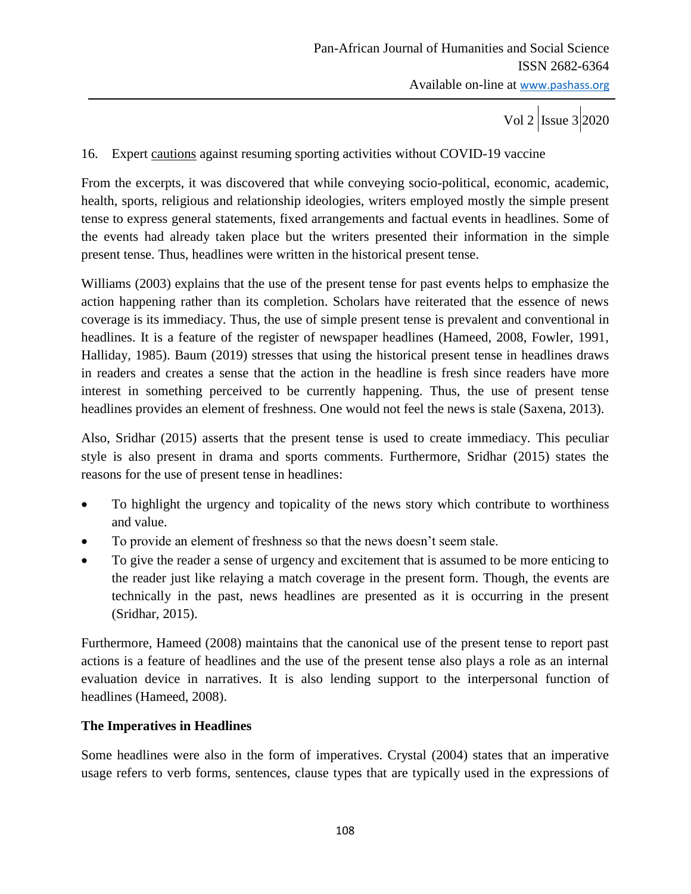#### 16. Expert cautions against resuming sporting activities without COVID-19 vaccine

From the excerpts, it was discovered that while conveying socio-political, economic, academic, health, sports, religious and relationship ideologies, writers employed mostly the simple present tense to express general statements, fixed arrangements and factual events in headlines. Some of the events had already taken place but the writers presented their information in the simple present tense. Thus, headlines were written in the historical present tense.

Williams (2003) explains that the use of the present tense for past events helps to emphasize the action happening rather than its completion. Scholars have reiterated that the essence of news coverage is its immediacy. Thus, the use of simple present tense is prevalent and conventional in headlines. It is a feature of the register of newspaper headlines (Hameed, 2008, Fowler, 1991, Halliday, 1985). Baum (2019) stresses that using the historical present tense in headlines draws in readers and creates a sense that the action in the headline is fresh since readers have more interest in something perceived to be currently happening. Thus, the use of present tense headlines provides an element of freshness. One would not feel the news is stale (Saxena, 2013).

Also, Sridhar (2015) asserts that the present tense is used to create immediacy. This peculiar style is also present in drama and sports comments. Furthermore, Sridhar (2015) states the reasons for the use of present tense in headlines:

- To highlight the urgency and topicality of the news story which contribute to worthiness and value.
- To provide an element of freshness so that the news doesn't seem stale.
- To give the reader a sense of urgency and excitement that is assumed to be more enticing to the reader just like relaying a match coverage in the present form. Though, the events are technically in the past, news headlines are presented as it is occurring in the present (Sridhar, 2015).

Furthermore, Hameed (2008) maintains that the canonical use of the present tense to report past actions is a feature of headlines and the use of the present tense also plays a role as an internal evaluation device in narratives. It is also lending support to the interpersonal function of headlines (Hameed, 2008).

#### **The Imperatives in Headlines**

Some headlines were also in the form of imperatives. Crystal (2004) states that an imperative usage refers to verb forms, sentences, clause types that are typically used in the expressions of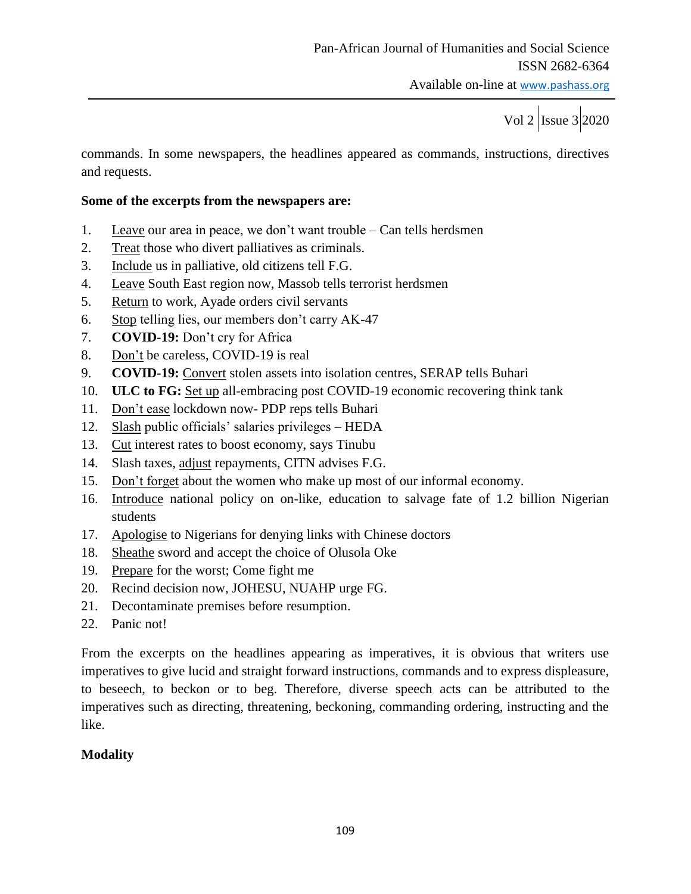commands. In some newspapers, the headlines appeared as commands, instructions, directives and requests.

#### **Some of the excerpts from the newspapers are:**

- 1. Leave our area in peace, we don't want trouble Can tells herdsmen
- 2. Treat those who divert palliatives as criminals.
- 3. Include us in palliative, old citizens tell F.G.
- 4. Leave South East region now, Massob tells terrorist herdsmen
- 5. Return to work, Ayade orders civil servants
- 6. Stop telling lies, our members don't carry AK-47
- 7. **COVID-19:** Don't cry for Africa
- 8. Don't be careless, COVID-19 is real
- 9. **COVID-19:** Convert stolen assets into isolation centres, SERAP tells Buhari
- 10. **ULC to FG:** Set up all-embracing post COVID-19 economic recovering think tank
- 11. Don't ease lockdown now-PDP reps tells Buhari
- 12. Slash public officials' salaries privileges HEDA
- 13. Cut interest rates to boost economy, says Tinubu
- 14. Slash taxes, adjust repayments, CITN advises F.G.
- 15. Don't forget about the women who make up most of our informal economy.
- 16. Introduce national policy on on-like, education to salvage fate of 1.2 billion Nigerian students
- 17. Apologise to Nigerians for denying links with Chinese doctors
- 18. Sheathe sword and accept the choice of Olusola Oke
- 19. Prepare for the worst; Come fight me
- 20. Recind decision now, JOHESU, NUAHP urge FG.
- 21. Decontaminate premises before resumption.
- 22. Panic not!

From the excerpts on the headlines appearing as imperatives, it is obvious that writers use imperatives to give lucid and straight forward instructions, commands and to express displeasure, to beseech, to beckon or to beg. Therefore, diverse speech acts can be attributed to the imperatives such as directing, threatening, beckoning, commanding ordering, instructing and the like.

# **Modality**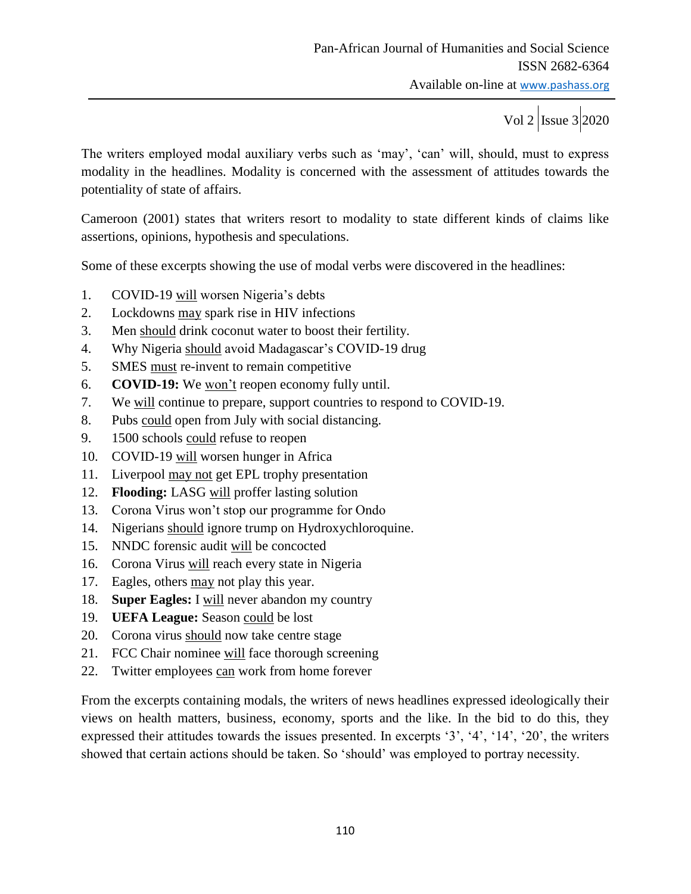The writers employed modal auxiliary verbs such as 'may', 'can' will, should, must to express modality in the headlines. Modality is concerned with the assessment of attitudes towards the potentiality of state of affairs.

Cameroon (2001) states that writers resort to modality to state different kinds of claims like assertions, opinions, hypothesis and speculations.

Some of these excerpts showing the use of modal verbs were discovered in the headlines:

- 1. COVID-19 will worsen Nigeria's debts
- 2. Lockdowns may spark rise in HIV infections
- 3. Men should drink coconut water to boost their fertility.
- 4. Why Nigeria should avoid Madagascar's COVID-19 drug
- 5. SMES must re-invent to remain competitive
- 6. **COVID-19:** We won't reopen economy fully until.
- 7. We will continue to prepare, support countries to respond to COVID-19.
- 8. Pubs could open from July with social distancing.
- 9. 1500 schools could refuse to reopen
- 10. COVID-19 will worsen hunger in Africa
- 11. Liverpool may not get EPL trophy presentation
- 12. **Flooding:** LASG will proffer lasting solution
- 13. Corona Virus won't stop our programme for Ondo
- 14. Nigerians should ignore trump on Hydroxychloroquine.
- 15. NNDC forensic audit will be concocted
- 16. Corona Virus will reach every state in Nigeria
- 17. Eagles, others may not play this year.
- 18. **Super Eagles:** I will never abandon my country
- 19. **UEFA League:** Season could be lost
- 20. Corona virus should now take centre stage
- 21. FCC Chair nominee will face thorough screening
- 22. Twitter employees can work from home forever

From the excerpts containing modals, the writers of news headlines expressed ideologically their views on health matters, business, economy, sports and the like. In the bid to do this, they expressed their attitudes towards the issues presented. In excerpts '3', '4', '14', '20', the writers showed that certain actions should be taken. So 'should' was employed to portray necessity.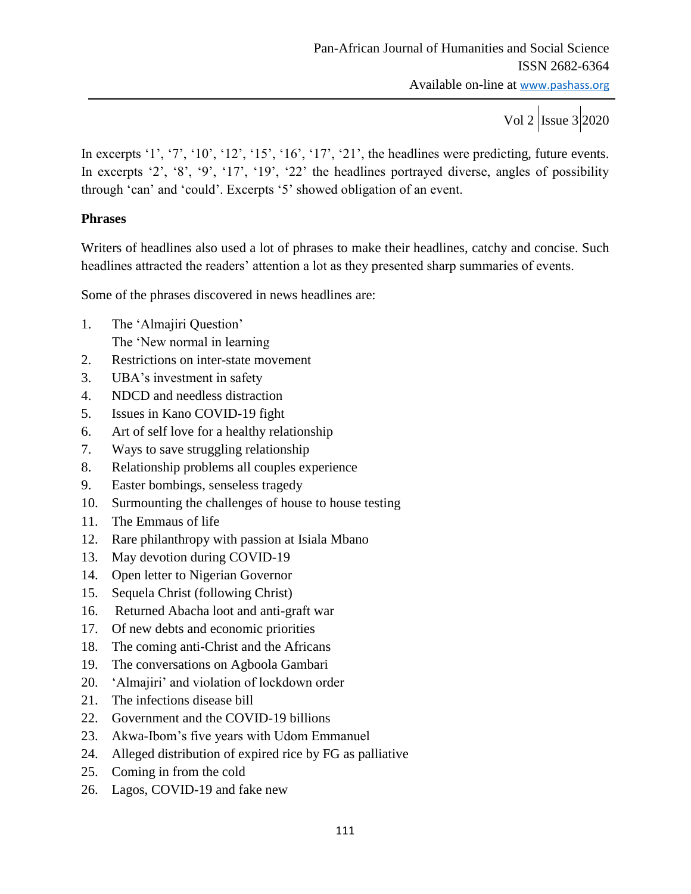In excerpts '1', '7', '10', '12', '15', '16', '17', '21', the headlines were predicting, future events. In excerpts '2', '8', '9', '17', '19', '22' the headlines portrayed diverse, angles of possibility through 'can' and 'could'. Excerpts '5' showed obligation of an event.

#### **Phrases**

Writers of headlines also used a lot of phrases to make their headlines, catchy and concise. Such headlines attracted the readers' attention a lot as they presented sharp summaries of events.

Some of the phrases discovered in news headlines are:

- 1. The 'Almajiri Question' The 'New normal in learning
- 2. Restrictions on inter-state movement
- 3. UBA's investment in safety
- 4. NDCD and needless distraction
- 5. Issues in Kano COVID-19 fight
- 6. Art of self love for a healthy relationship
- 7. Ways to save struggling relationship
- 8. Relationship problems all couples experience
- 9. Easter bombings, senseless tragedy
- 10. Surmounting the challenges of house to house testing
- 11. The Emmaus of life
- 12. Rare philanthropy with passion at Isiala Mbano
- 13. May devotion during COVID-19
- 14. Open letter to Nigerian Governor
- 15. Sequela Christ (following Christ)
- 16. Returned Abacha loot and anti-graft war
- 17. Of new debts and economic priorities
- 18. The coming anti-Christ and the Africans
- 19. The conversations on Agboola Gambari
- 20. 'Almajiri' and violation of lockdown order
- 21. The infections disease bill
- 22. Government and the COVID-19 billions
- 23. Akwa-Ibom's five years with Udom Emmanuel
- 24. Alleged distribution of expired rice by FG as palliative
- 25. Coming in from the cold
- 26. Lagos, COVID-19 and fake new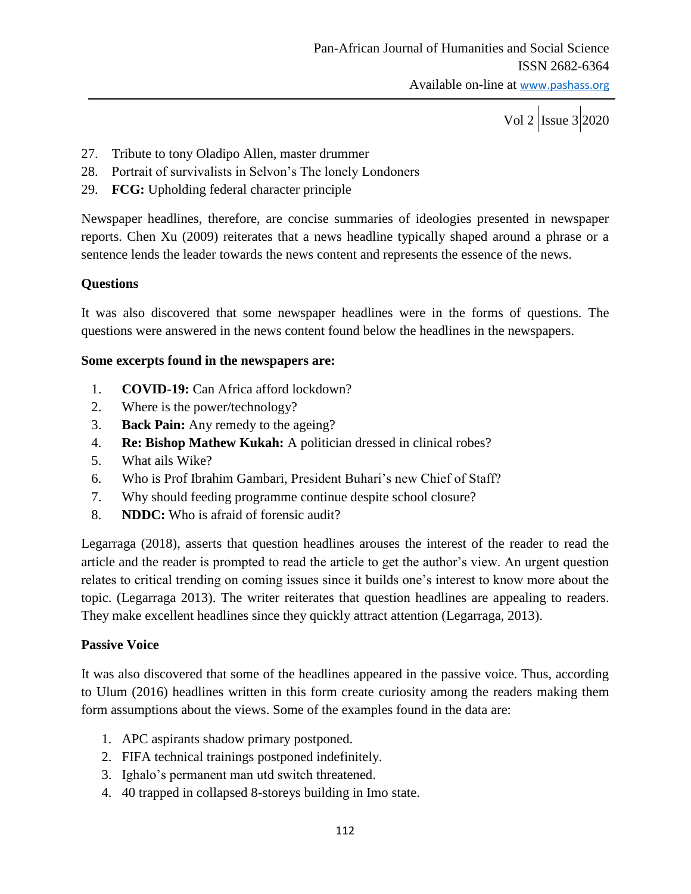- 27. Tribute to tony Oladipo Allen, master drummer
- 28. Portrait of survivalists in Selvon's The lonely Londoners
- 29. **FCG:** Upholding federal character principle

Newspaper headlines, therefore, are concise summaries of ideologies presented in newspaper reports. Chen Xu (2009) reiterates that a news headline typically shaped around a phrase or a sentence lends the leader towards the news content and represents the essence of the news.

#### **Questions**

It was also discovered that some newspaper headlines were in the forms of questions. The questions were answered in the news content found below the headlines in the newspapers.

#### **Some excerpts found in the newspapers are:**

- 1. **COVID-19:** Can Africa afford lockdown?
- 2. Where is the power/technology?
- 3. **Back Pain:** Any remedy to the ageing?
- 4. **Re: Bishop Mathew Kukah:** A politician dressed in clinical robes?
- 5. What ails Wike?
- 6. Who is Prof Ibrahim Gambari, President Buhari's new Chief of Staff?
- 7. Why should feeding programme continue despite school closure?
- 8. **NDDC:** Who is afraid of forensic audit?

Legarraga (2018), asserts that question headlines arouses the interest of the reader to read the article and the reader is prompted to read the article to get the author's view. An urgent question relates to critical trending on coming issues since it builds one's interest to know more about the topic. (Legarraga 2013). The writer reiterates that question headlines are appealing to readers. They make excellent headlines since they quickly attract attention (Legarraga, 2013).

#### **Passive Voice**

It was also discovered that some of the headlines appeared in the passive voice. Thus, according to Ulum (2016) headlines written in this form create curiosity among the readers making them form assumptions about the views. Some of the examples found in the data are:

- 1. APC aspirants shadow primary postponed.
- 2. FIFA technical trainings postponed indefinitely.
- 3. Ighalo's permanent man utd switch threatened.
- 4. 40 trapped in collapsed 8-storeys building in Imo state.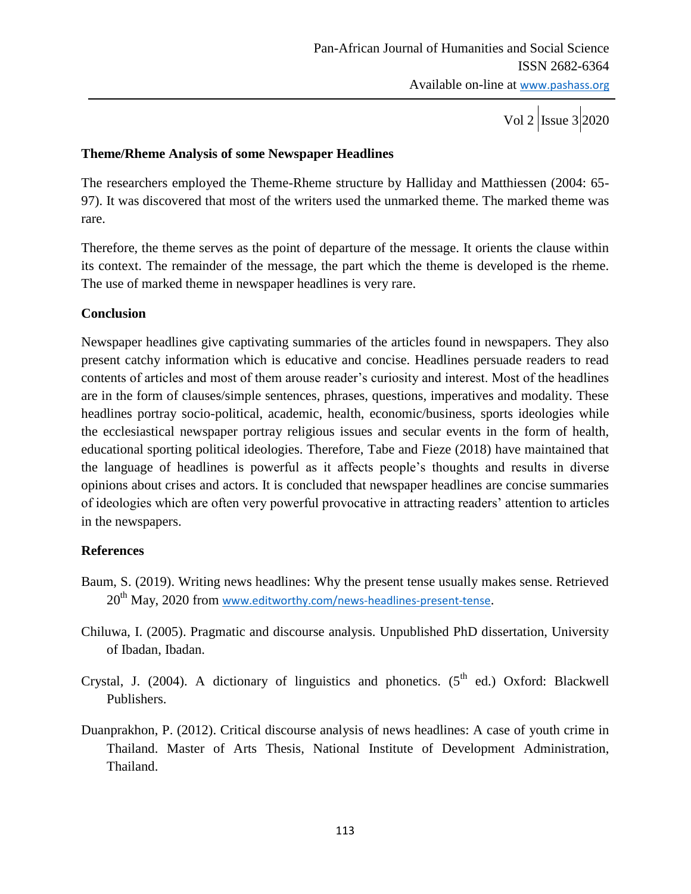#### **Theme/Rheme Analysis of some Newspaper Headlines**

The researchers employed the Theme-Rheme structure by Halliday and Matthiessen (2004: 65- 97). It was discovered that most of the writers used the unmarked theme. The marked theme was rare.

Therefore, the theme serves as the point of departure of the message. It orients the clause within its context. The remainder of the message, the part which the theme is developed is the rheme. The use of marked theme in newspaper headlines is very rare.

#### **Conclusion**

Newspaper headlines give captivating summaries of the articles found in newspapers. They also present catchy information which is educative and concise. Headlines persuade readers to read contents of articles and most of them arouse reader's curiosity and interest. Most of the headlines are in the form of clauses/simple sentences, phrases, questions, imperatives and modality. These headlines portray socio-political, academic, health, economic/business, sports ideologies while the ecclesiastical newspaper portray religious issues and secular events in the form of health, educational sporting political ideologies. Therefore, Tabe and Fieze (2018) have maintained that the language of headlines is powerful as it affects people's thoughts and results in diverse opinions about crises and actors. It is concluded that newspaper headlines are concise summaries of ideologies which are often very powerful provocative in attracting readers' attention to articles in the newspapers.

#### **References**

- Baum, S. (2019). Writing news headlines: Why the present tense usually makes sense. Retrieved 20<sup>th</sup> May, 2020 from [www.editworthy.com/news-headlines-present-tense](http://www.editworthy.com/news-headlines-present-tense).
- Chiluwa, I. (2005). Pragmatic and discourse analysis. Unpublished PhD dissertation, University of Ibadan, Ibadan.
- Crystal, J. (2004). A dictionary of linguistics and phonetics.  $(5<sup>th</sup>$  ed.) Oxford: Blackwell Publishers.
- Duanprakhon, P. (2012). Critical discourse analysis of news headlines: A case of youth crime in Thailand. Master of Arts Thesis, National Institute of Development Administration, Thailand.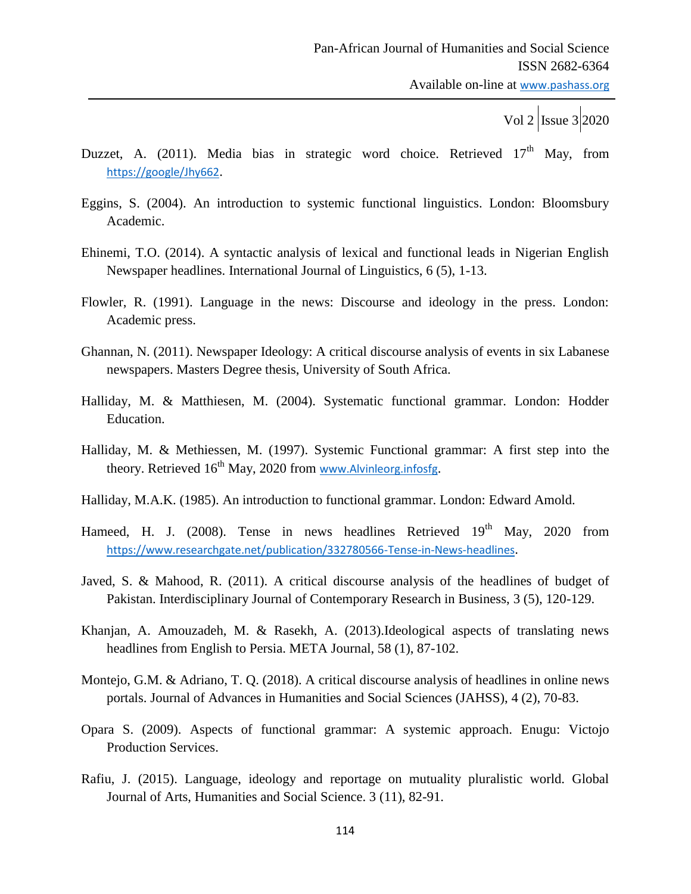- Duzzet, A. (2011). Media bias in strategic word choice. Retrieved  $17<sup>th</sup>$  May, from <https://google/Jhy662>.
- Eggins, S. (2004). An introduction to systemic functional linguistics. London: Bloomsbury Academic.
- Ehinemi, T.O. (2014). A syntactic analysis of lexical and functional leads in Nigerian English Newspaper headlines. International Journal of Linguistics, 6 (5), 1-13.
- Flowler, R. (1991). Language in the news: Discourse and ideology in the press. London: Academic press.
- Ghannan, N. (2011). Newspaper Ideology: A critical discourse analysis of events in six Labanese newspapers. Masters Degree thesis, University of South Africa.
- Halliday, M. & Matthiesen, M. (2004). Systematic functional grammar. London: Hodder Education.
- Halliday, M. & Methiessen, M. (1997). Systemic Functional grammar: A first step into the theory. Retrieved 16<sup>th</sup> May, 2020 from [www.Alvinleorg.infosfg](http://www.alvinleorg.infosfg/).
- Halliday, M.A.K. (1985). An introduction to functional grammar. London: Edward Amold.
- Hameed, H. J. (2008). Tense in news headlines Retrieved 19<sup>th</sup> May, 2020 from <https://www.researchgate.net/publication/332780566-Tense-in-News-headlines>.
- Javed, S. & Mahood, R. (2011). A critical discourse analysis of the headlines of budget of Pakistan. Interdisciplinary Journal of Contemporary Research in Business, 3 (5), 120-129.
- Khanjan, A. Amouzadeh, M. & Rasekh, A. (2013).Ideological aspects of translating news headlines from English to Persia. META Journal, 58 (1), 87-102.
- Montejo, G.M. & Adriano, T. Q. (2018). A critical discourse analysis of headlines in online news portals. Journal of Advances in Humanities and Social Sciences (JAHSS), 4 (2), 70-83.
- Opara S. (2009). Aspects of functional grammar: A systemic approach. Enugu: Victojo Production Services.
- Rafiu, J. (2015). Language, ideology and reportage on mutuality pluralistic world. Global Journal of Arts, Humanities and Social Science. 3 (11), 82-91.